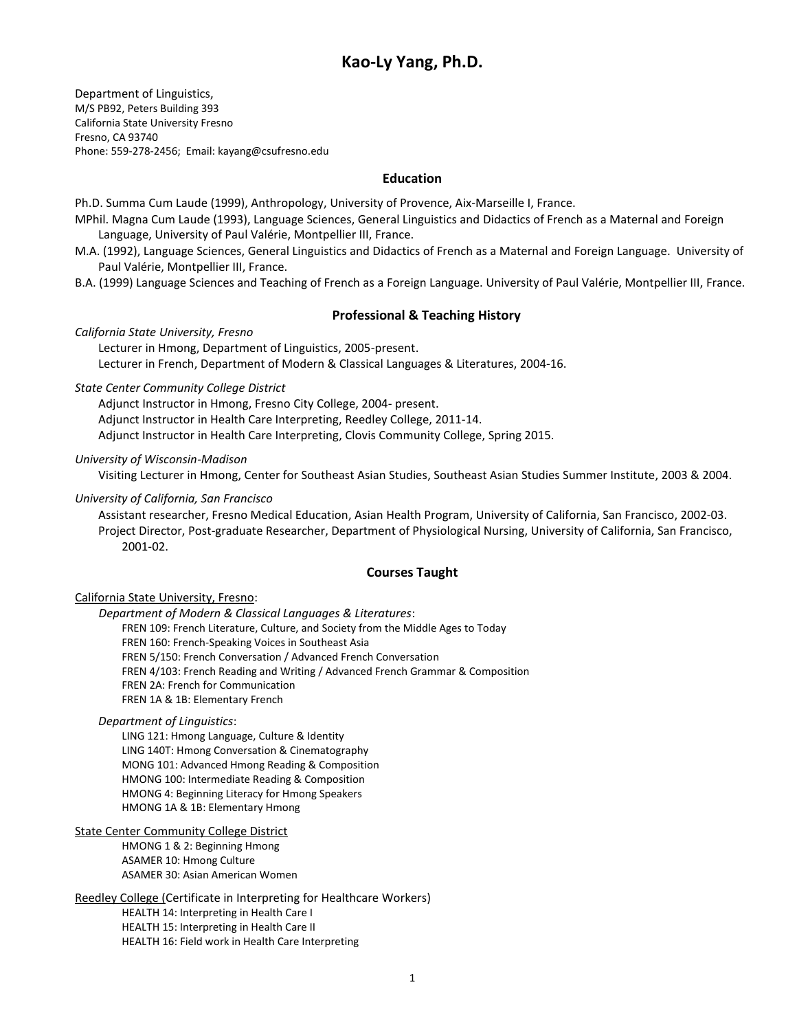# **Kao-Ly Yang, Ph.D.**

Department of Linguistics, M/S PB92, Peters Building 393 California State University Fresno Fresno, CA 93740 Phone: 559-278-2456; Email[: kayang@csufresno.edu](mailto:kayang@csufresno.edu)

### **Education**

Ph.D. Summa Cum Laude (1999), Anthropology, University of Provence, Aix-Marseille I, France.

- MPhil. Magna Cum Laude (1993), Language Sciences, General Linguistics and Didactics of French as a Maternal and Foreign Language, University of Paul Valérie, Montpellier III, France.
- M.A. (1992), Language Sciences, General Linguistics and Didactics of French as a Maternal and Foreign Language. University of Paul Valérie, Montpellier III, France.
- B.A. (1999) Language Sciences and Teaching of French as a Foreign Language. University of Paul Valérie, Montpellier III, France.

### **Professional & Teaching History**

*California State University, Fresno* 

Lecturer in Hmong, Department of Linguistics, 2005-present. Lecturer in French, Department of Modern & Classical Languages & Literatures, 2004-16.

*State Center Community College District*

Adjunct Instructor in Hmong, Fresno City College, 2004- present. Adjunct Instructor in Health Care Interpreting, Reedley College, 2011-14. Adjunct Instructor in Health Care Interpreting, Clovis Community College, Spring 2015.

*University of Wisconsin-Madison*

Visiting Lecturer in Hmong, Center for Southeast Asian Studies, Southeast Asian Studies Summer Institute, 2003 & 2004.

#### *University of California, San Francisco*

Assistant researcher, Fresno Medical Education, Asian Health Program, University of California, San Francisco, 2002-03. Project Director, Post-graduate Researcher, Department of Physiological Nursing, University of California, San Francisco, 2001-02.

### **Courses Taught**

California State University, Fresno:

 *Department of Modern & Classical Languages & Literatures*:

FREN 109: French Literature, Culture, and Society from the Middle Ages to Today FREN 160: French-Speaking Voices in Southeast Asia FREN 5/150: French Conversation / Advanced French Conversation FREN 4/103: French Reading and Writing / Advanced French Grammar & Composition

FREN 2A: French for Communication FREN 1A & 1B: Elementary French

*Department of Linguistics*:

LING 121: Hmong Language, Culture & Identity LING 140T: Hmong Conversation & Cinematography MONG 101: Advanced Hmong Reading & Composition HMONG 100: Intermediate Reading & Composition HMONG 4: Beginning Literacy for Hmong Speakers HMONG 1A & 1B: Elementary Hmong

### State Center Community College District

HMONG 1 & 2: Beginning Hmong ASAMER 10: Hmong Culture ASAMER 30: Asian American Women

Reedley College (Certificate in Interpreting for Healthcare Workers)

HEALTH 14: Interpreting in Health Care I

HEALTH 15: Interpreting in Health Care II HEALTH 16: Field work in Health Care Interpreting